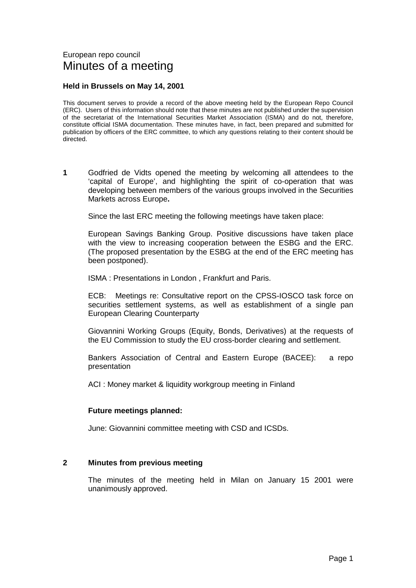#### European repo council Minutes of a meeting

#### **Held in Brussels on May 14, 2001**

This document serves to provide a record of the above meeting held by the European Repo Council (ERC). Users of this information should note that these minutes are not published under the supervision of the secretariat of the International Securities Market Association (ISMA) and do not, therefore, constitute official ISMA documentation. These minutes have, in fact, been prepared and submitted for publication by officers of the ERC committee, to which any questions relating to their content should be directed.

**1** Godfried de Vidts opened the meeting by welcoming all attendees to the 'capital of Europe', and highlighting the spirit of co-operation that was developing between members of the various groups involved in the Securities Markets across Europe**.** 

Since the last ERC meeting the following meetings have taken place:

European Savings Banking Group. Positive discussions have taken place with the view to increasing cooperation between the ESBG and the ERC. (The proposed presentation by the ESBG at the end of the ERC meeting has been postponed).

ISMA : Presentations in London , Frankfurt and Paris.

ECB: Meetings re: Consultative report on the CPSS-IOSCO task force on securities settlement systems, as well as establishment of a single pan European Clearing Counterparty

Giovannini Working Groups (Equity, Bonds, Derivatives) at the requests of the EU Commission to study the EU cross-border clearing and settlement.

Bankers Association of Central and Eastern Europe (BACEE): a repo presentation

ACI : Money market & liquidity workgroup meeting in Finland

#### **Future meetings planned:**

June: Giovannini committee meeting with CSD and ICSDs.

#### **2 Minutes from previous meeting**

The minutes of the meeting held in Milan on January 15 2001 were unanimously approved.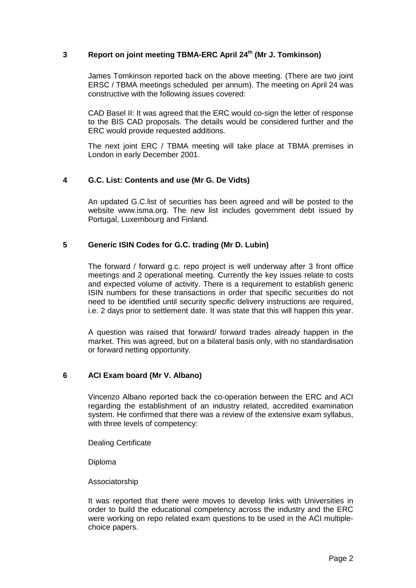#### **3** Report on joint meeting TBMA-ERC April 24<sup>th</sup> (Mr J. Tomkinson)

James Tomkinson reported back on the above meeting. (There are two joint ERSC / TBMA meetings scheduled per annum). The meeting on April 24 was constructive with the following issues covered:

CAD Basel II: It was agreed that the ERC would co-sign the letter of response to the BIS CAD proposals. The details would be considered further and the ERC would provide requested additions.

The next joint ERC / TBMA meeting will take place at TBMA premises in London in early December 2001.

#### **4 G.C. List: Contents and use (Mr G. De Vidts)**

An updated G.C.list of securities has been agreed and will be posted to the website www.isma.org. The new list includes government debt issued by Portugal, Luxembourg and Finland.

#### **5 Generic ISIN Codes for G.C. trading (Mr D. Lubin)**

The forward / forward g.c. repo project is well underway after 3 front office meetings and 2 operational meeting. Currently the key issues relate to costs and expected volume of activity. There is a requirement to establish generic ISIN numbers for these transactions in order that specific securities do not need to be identified until security specific delivery instructions are required, i.e. 2 days prior to settlement date. It was state that this will happen this year.

A question was raised that forward/ forward trades already happen in the market. This was agreed, but on a bilateral basis only, with no standardisation or forward netting opportunity.

#### **6 ACI Exam board (Mr V. Albano)**

Vincenzo Albano reported back the co-operation between the ERC and ACI regarding the establishment of an industry related, accredited examination system. He confirmed that there was a review of the extensive exam syllabus, with three levels of competency:

Dealing Certificate

Diploma

Associatorship

It was reported that there were moves to develop links with Universities in order to build the educational competency across the industry and the ERC were working on repo related exam questions to be used in the ACI multiplechoice papers.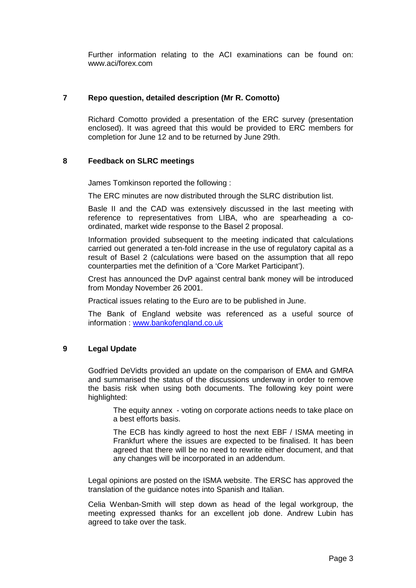Further information relating to the ACI examinations can be found on: www.aci/forex.com

#### **7 Repo question, detailed description (Mr R. Comotto)**

Richard Comotto provided a presentation of the ERC survey (presentation enclosed). It was agreed that this would be provided to ERC members for completion for June 12 and to be returned by June 29th.

#### **8 Feedback on SLRC meetings**

James Tomkinson reported the following :

The ERC minutes are now distributed through the SLRC distribution list.

Basle II and the CAD was extensively discussed in the last meeting with reference to representatives from LIBA, who are spearheading a coordinated, market wide response to the Basel 2 proposal.

Information provided subsequent to the meeting indicated that calculations carried out generated a ten-fold increase in the use of regulatory capital as a result of Basel 2 (calculations were based on the assumption that all repo counterparties met the definition of a 'Core Market Participant').

Crest has announced the DvP against central bank money will be introduced from Monday November 26 2001.

Practical issues relating to the Euro are to be published in June.

The Bank of England website was referenced as a useful source of information : w[ww.bankofengland.co.uk](http://www.bankofengland.co.uk/)

#### **9 Legal Update**

Godfried DeVidts provided an update on the comparison of EMA and GMRA and summarised the status of the discussions underway in order to remove the basis risk when using both documents. The following key point were highlighted:

The equity annex - voting on corporate actions needs to take place on a best efforts basis.

The ECB has kindly agreed to host the next EBF / ISMA meeting in Frankfurt where the issues are expected to be finalised. It has been agreed that there will be no need to rewrite either document, and that any changes will be incorporated in an addendum.

Legal opinions are posted on the ISMA website. The ERSC has approved the translation of the guidance notes into Spanish and Italian.

Celia Wenban-Smith will step down as head of the legal workgroup, the meeting expressed thanks for an excellent job done. Andrew Lubin has agreed to take over the task.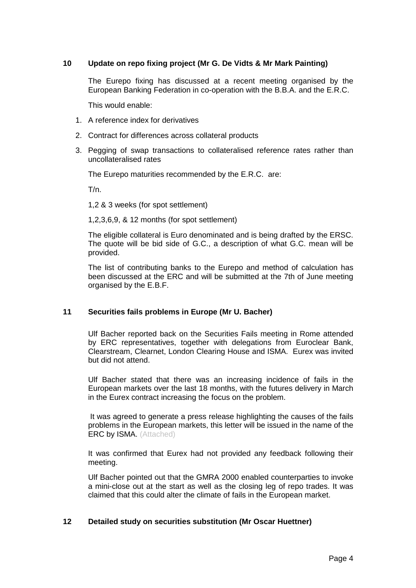#### **10 Update on repo fixing project (Mr G. De Vidts & Mr Mark Painting)**

The Eurepo fixing has discussed at a recent meeting organised by the European Banking Federation in co-operation with the B.B.A. and the E.R.C.

This would enable:

- 1. A reference index for derivatives
- 2. Contract for differences across collateral products
- 3. Pegging of swap transactions to collateralised reference rates rather than uncollateralised rates

The Eurepo maturities recommended by the E.R.C. are:

T/n.

1,2 & 3 weeks (for spot settlement)

1,2,3,6,9, & 12 months (for spot settlement)

The eligible collateral is Euro denominated and is being drafted by the ERSC. The quote will be bid side of G.C., a description of what G.C. mean will be provided.

The list of contributing banks to the Eurepo and method of calculation has been discussed at the ERC and will be submitted at the 7th of June meeting organised by the E.B.F.

#### **11 Securities fails problems in Europe (Mr U. Bacher)**

Ulf Bacher reported back on the Securities Fails meeting in Rome attended by ERC representatives, together with delegations from Euroclear Bank, Clearstream, Clearnet, London Clearing House and ISMA. Eurex was invited but did not attend.

Ulf Bacher stated that there was an increasing incidence of fails in the European markets over the last 18 months, with the futures delivery in March in the Eurex contract increasing the focus on the problem.

It was agreed to generate a press release highlighting the causes of the fails problems in the European markets, this letter will be issued in the name of the ERC by ISMA. (Attached)

It was confirmed that Eurex had not provided any feedback following their meeting.

Ulf Bacher pointed out that the GMRA 2000 enabled counterparties to invoke a mini-close out at the start as well as the closing leg of repo trades. It was claimed that this could alter the climate of fails in the European market.

#### **12 Detailed study on securities substitution (Mr Oscar Huettner)**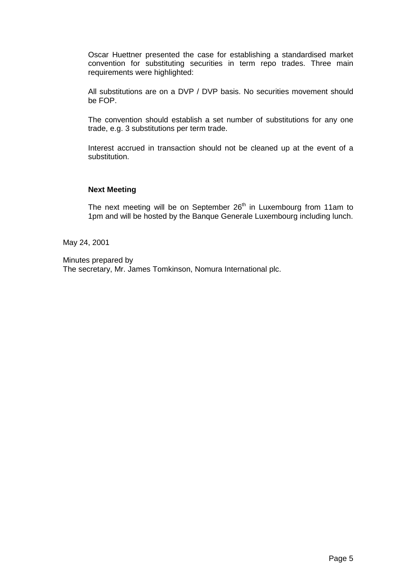Oscar Huettner presented the case for establishing a standardised market convention for substituting securities in term repo trades. Three main requirements were highlighted:

All substitutions are on a DVP / DVP basis. No securities movement should be FOP.

The convention should establish a set number of substitutions for any one trade, e.g. 3 substitutions per term trade.

Interest accrued in transaction should not be cleaned up at the event of a substitution.

#### **Next Meeting**

The next meeting will be on September  $26<sup>th</sup>$  in Luxembourg from 11am to 1pm and will be hosted by the Banque Generale Luxembourg including lunch.

May 24, 2001

Minutes prepared by The secretary, Mr. James Tomkinson, Nomura International plc.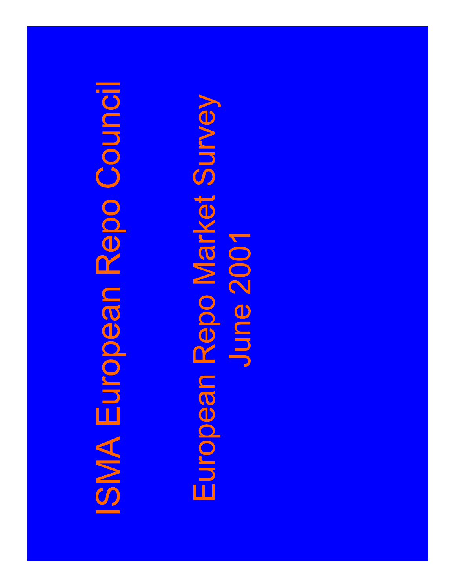# **ISMA European Repo Council**

# European Repo Market Survey June 2001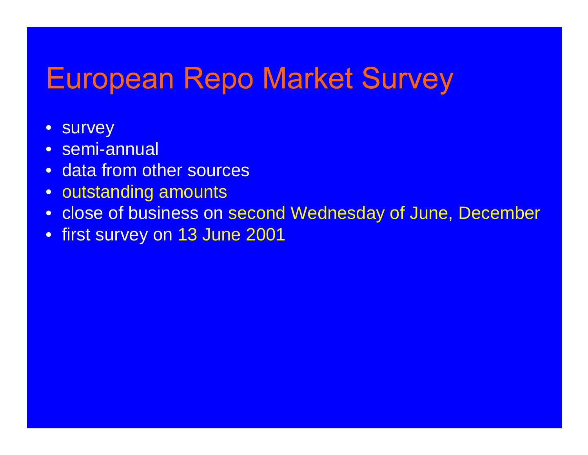- survey
- semi-annual
- data from other sources
- outstanding amounts
- close of business on second Wednesday of June, December
- first survey on 13 June 2001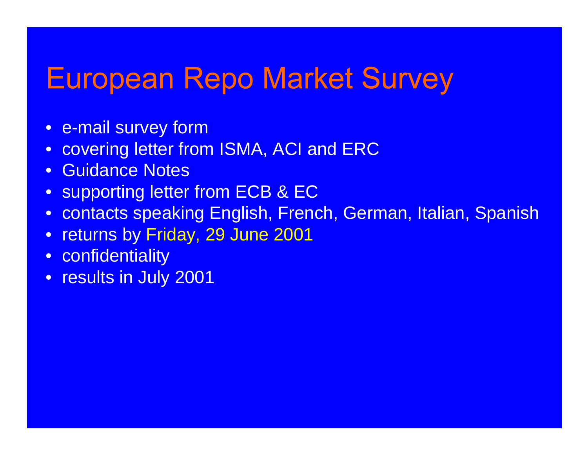- e-mail survey form
- covering letter from ISMA, ACI and ERC
- Guidance Notes
- supporting letter from ECB & EC
- contacts speaking English, French, German, Italian, Spanish
- $\bullet$ returns by Friday, 29 June 2001
- confidentiality
- results in July 2001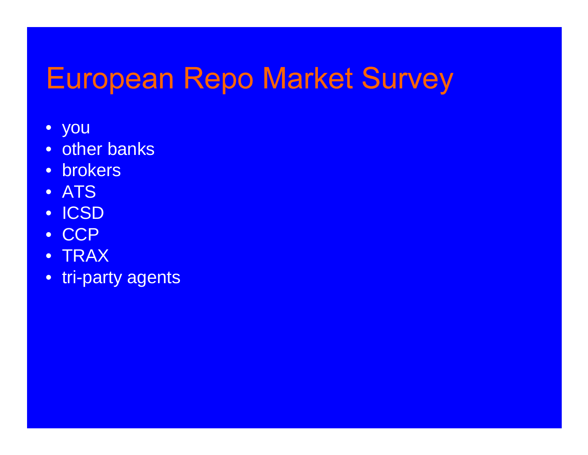- you
- other banks
- brokers
- ATS
- ICSD
- CCP
- TRAX
- tri-party agents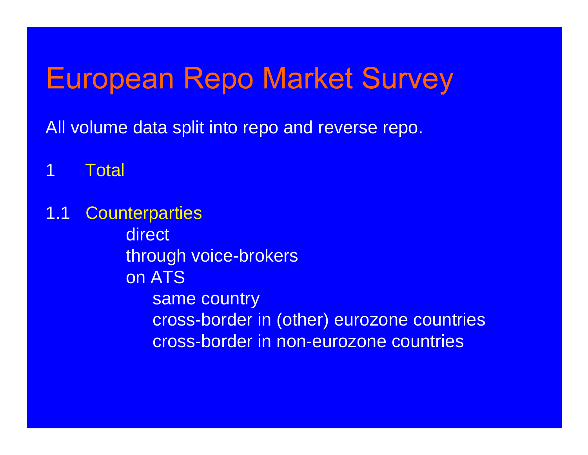All volume data split into repo and reverse repo.

1 Total

1.1 Counterparties direct through voice-brokers on ATSsame country cross-border in (other) eurozone countries cross-border in non-eurozone countries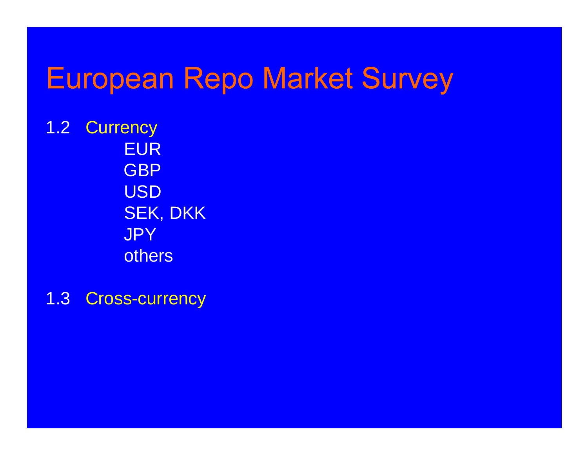1.2 Currency **EUR GBP** USD SEK, DKK **JPY** others

1.3 Cross-currency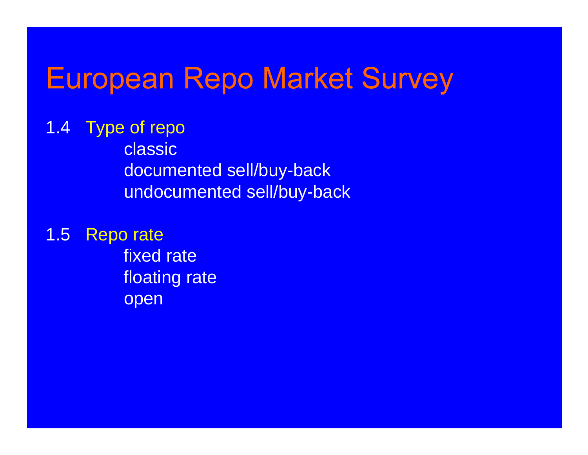1.4 Type of repo classic documented sell/buy-back undocumented sell/buy-back

1.5 Repo rate fixed rate floating rate open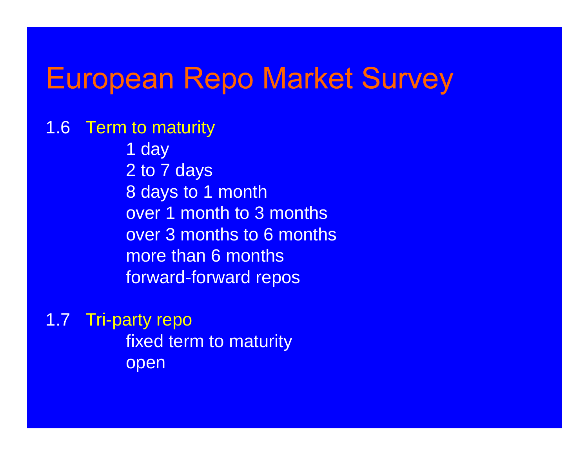1.6 Term to maturity 1 day 2 to 7 days 8 days to 1 month over 1 month to 3 months over 3 months to 6 monthsmore than 6 monthsforward-forward repos

1.7 Tri-party repo fixed term to maturity open